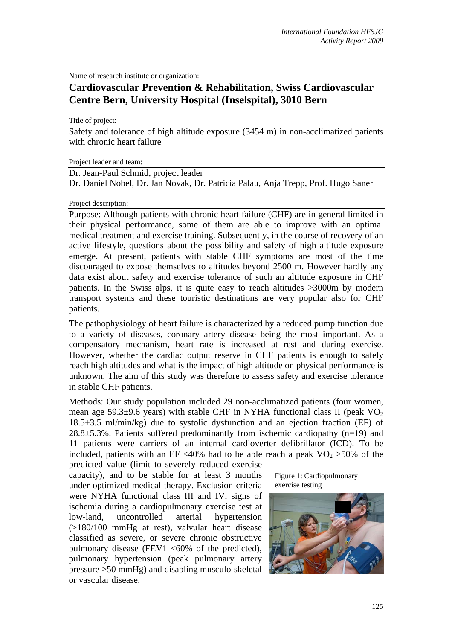Name of research institute or organization:

## **Cardiovascular Prevention & Rehabilitation, Swiss Cardiovascular Centre Bern, University Hospital (Inselspital), 3010 Bern**

Title of project:

Safety and tolerance of high altitude exposure (3454 m) in non-acclimatized patients with chronic heart failure

Project leader and team:

Dr. Jean-Paul Schmid, project leader

Dr. Daniel Nobel, Dr. Jan Novak, Dr. Patricia Palau, Anja Trepp, Prof. Hugo Saner

## Project description:

Purpose: Although patients with chronic heart failure (CHF) are in general limited in their physical performance, some of them are able to improve with an optimal medical treatment and exercise training. Subsequently, in the course of recovery of an active lifestyle, questions about the possibility and safety of high altitude exposure emerge. At present, patients with stable CHF symptoms are most of the time discouraged to expose themselves to altitudes beyond 2500 m. However hardly any data exist about safety and exercise tolerance of such an altitude exposure in CHF patients. In the Swiss alps, it is quite easy to reach altitudes >3000m by modern transport systems and these touristic destinations are very popular also for CHF patients.

The pathophysiology of heart failure is characterized by a reduced pump function due to a variety of diseases, coronary artery disease being the most important. As a compensatory mechanism, heart rate is increased at rest and during exercise. However, whether the cardiac output reserve in CHF patients is enough to safely reach high altitudes and what is the impact of high altitude on physical performance is unknown. The aim of this study was therefore to assess safety and exercise tolerance in stable CHF patients.

Methods: Our study population included 29 non-acclimatized patients (four women, mean age 59.3 $\pm$ 9.6 years) with stable CHF in NYHA functional class II (peak VO<sub>2</sub>) 18.5±3.5 ml/min/kg) due to systolic dysfunction and an ejection fraction (EF) of  $28.8\pm5.3\%$ . Patients suffered predominantly from ischemic cardiopathy (n=19) and 11 patients were carriers of an internal cardioverter defibrillator (ICD). To be included, patients with an EF <40% had to be able reach a peak  $VO<sub>2</sub> > 50%$  of the

predicted value (limit to severely reduced exercise capacity), and to be stable for at least 3 months under optimized medical therapy. Exclusion criteria were NYHA functional class III and IV, signs of ischemia during a cardiopulmonary exercise test at low-land, uncontrolled arterial hypertension (>180/100 mmHg at rest), valvular heart disease classified as severe, or severe chronic obstructive pulmonary disease (FEV1  $<60\%$  of the predicted), pulmonary hypertension (peak pulmonary artery pressure >50 mmHg) and disabling musculo-skeletal or vascular disease.

Figure 1: Cardiopulmonary exercise testing